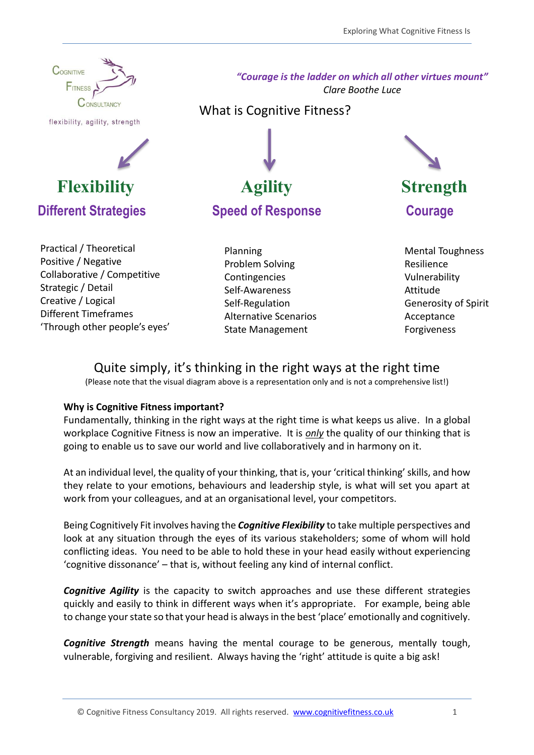

flexibility, agility, strength



Practical / Theoretical Positive / Negative Collaborative / Competitive Strategic / Detail Creative / Logical Different Timeframes 'Through other people's eyes' *"Courage is the ladder on which all other virtues mount" Clare Boothe Luce*

What is Cognitive Fitness?



Planning Problem Solving Contingencies Self-Awareness Self-Regulation Alternative Scenarios State Management

Mental Toughness Resilience Vulnerability Attitude Generosity of Spirit Acceptance Forgiveness

# Quite simply, it's thinking in the right ways at the right time

(Please note that the visual diagram above is a representation only and is not a comprehensive list!)

# **Why is Cognitive Fitness important?**

Fundamentally, thinking in the right ways at the right time is what keeps us alive. In a global workplace Cognitive Fitness is now an imperative. It is *only* the quality of our thinking that is going to enable us to save our world and live collaboratively and in harmony on it.

At an individual level, the quality of your thinking, that is, your 'critical thinking' skills, and how they relate to your emotions, behaviours and leadership style, is what will set you apart at work from your colleagues, and at an organisational level, your competitors.

Being Cognitively Fit involves having the *Cognitive Flexibility* to take multiple perspectives and look at any situation through the eyes of its various stakeholders; some of whom will hold conflicting ideas. You need to be able to hold these in your head easily without experiencing 'cognitive dissonance' – that is, without feeling any kind of internal conflict.

*Cognitive Agility* is the capacity to switch approaches and use these different strategies quickly and easily to think in different ways when it's appropriate. For example, being able to change your state so that your head is always in the best 'place' emotionally and cognitively.

*Cognitive Strength* means having the mental courage to be generous, mentally tough, vulnerable, forgiving and resilient. Always having the 'right' attitude is quite a big ask!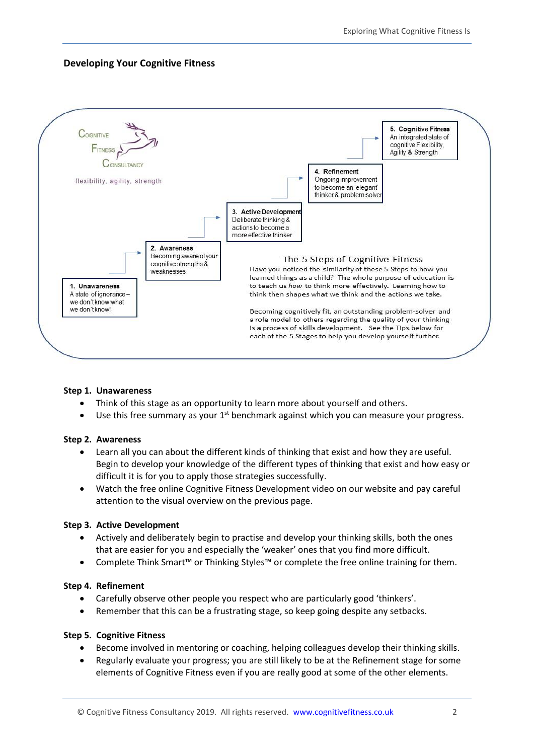# **Developing Your Cognitive Fitness**



### **Step 1. Unawareness**

- Think of this stage as an opportunity to learn more about yourself and others.
- $\bullet$  Use this free summary as your  $1^{st}$  benchmark against which you can measure your progress.

### **Step 2. Awareness**

- Learn all you can about the different kinds of thinking that exist and how they are useful. Begin to develop your knowledge of the different types of thinking that exist and how easy or difficult it is for you to apply those strategies successfully.
- Watch the free online Cognitive Fitness Development video on our website and pay careful attention to the visual overview on the previous page.

### **Step 3. Active Development**

- Actively and deliberately begin to practise and develop your thinking skills, both the ones that are easier for you and especially the 'weaker' ones that you find more difficult.
- Complete Think Smart™ or Thinking Styles™ or complete the free online training for them.

#### **Step 4. Refinement**

- Carefully observe other people you respect who are particularly good 'thinkers'.
- Remember that this can be a frustrating stage, so keep going despite any setbacks.

### **Step 5. Cognitive Fitness**

- Become involved in mentoring or coaching, helping colleagues develop their thinking skills.
- Regularly evaluate your progress; you are still likely to be at the Refinement stage for some elements of Cognitive Fitness even if you are really good at some of the other elements.